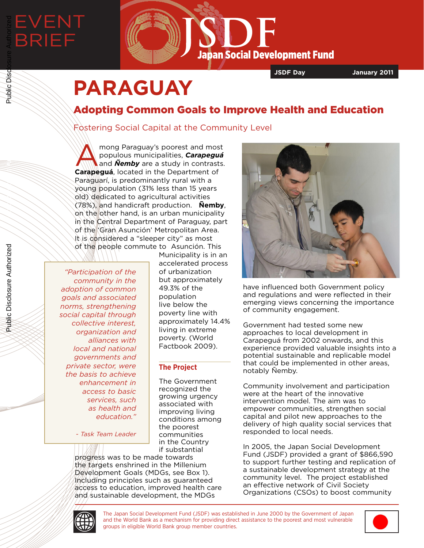

**JSDF Day January 2011**

# **PARAGUAY**

# Adopting Common Goals to Improve Health and Education

## Fostering Social Capital at the Community Level

mong Paraguay's poorest and most<br>
populous municipalities, **Carapeguá**<br> **Carapeguá**<br> **Carapeguá**<br> **Carapeguá**<br> **Carapeguá**<br> **Carapeguá** populous municipalities, *Carapeguá*  **Carapeguá**, located in the Department of Paraguarí, is predominantly rural with a young population (31% less than 15 years old) dedicated to agricultural activities (78%), and handicraft production. **Ñemby**, on the other hand, is an urban municipality in the Central Department of Paraguay, part of the 'Gran Asunción' Metropolitan Area. It is considered a "sleeper city" as most of the people commute to Asunción. This

*"Participation of the community in the adoption of common goals and associated norms, strengthening social capital through collective interest, organization and alliances with local and national governments and private sector, were the basis to achieve enhancement in access to basic services, such as health and education."* 

*- Task Team Leader*

Municipality is in an accelerated process of urbanization but approximately 49.3% of the population live below the poverty line with approximately 14.4% living in extreme poverty. (World Factbook 2009).

### **The Project**

The Government recognized the growing urgency associated with improving living conditions among the poorest communities in the Country if substantial

progress was to be made towards the targets enshrined in the Millenium Development Goals (MDGs, see Box 1). Including principles such as guaranteed access to education, improved health care and sustainable development, the MDGs



have influenced both Government policy and regulations and were reflected in their emerging views concerning the importance of community engagement.

Government had tested some new approaches to local development in Carapeguá from 2002 onwards, and this experience provided valuable insights into a potential sustainable and replicable model that could be implemented in other areas, notably Ñemby.

Community involvement and participation were at the heart of the innovative intervention model. The aim was to empower communities, strengthen social capital and pilot new approaches to the delivery of high quality social services that responded to local needs.

In 2005, the Japan Social Development Fund (JSDF) provided a grant of \$866,590 to support further testing and replication of a sustainable development strategy at the community level. The project established an effective network of Civil Society Organizations (CSOs) to boost community



The Japan Social Development Fund (JSDF) was established in June 2000 by the Government of Japan and the World Bank as a mechanism for providing direct assistance to the poorest and most vulnerable groups in eligible World Bank group member countries.



Public Disclosure Authorized

Public Disclosure Authorized

Public Disc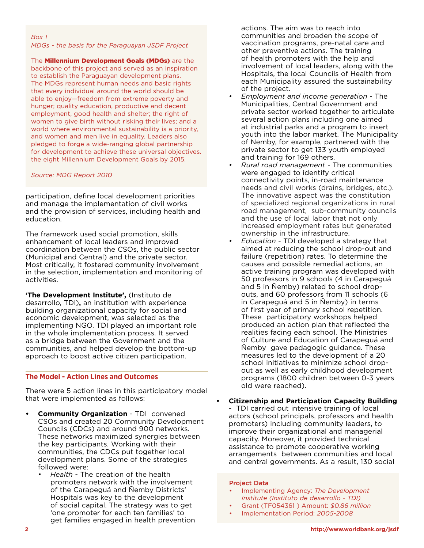#### *Box 1*

#### *MDGs - the basis for the Paraguayan JSDF Project*

The **Millennium Development Goals (MDGs)** are the backbone of this project and served as an inspiration to establish the Paraguayan development plans. The MDGs represent human needs and basic rights that every individual around the world should be able to enjoy—freedom from extreme poverty and hunger; quality education, productive and decent employment, good health and shelter; the right of women to give birth without risking their lives; and a world where environmental sustainability is a priority, and women and men live in equality. Leaders also pledged to forge a wide-ranging global partnership for development to achieve these universal objectives. the eight Millennium Development Goals by 2015.

#### *Source: MDG Report 2010*

participation, define local development priorities and manage the implementation of civil works and the provision of services, including health and education.

The framework used social promotion, skills enhancement of local leaders and improved coordination between the CSOs, the public sector (Municipal and Central) and the private sector. Most critically, it fostered community involvement in the selection, implementation and monitoring of activities.

**'The Development Institute',** (Instituto de desarrollo, TDI)**,** an institution with experience building organizational capacity for social and economic development, was selected as the implementing NGO. TDI played an important role in the whole implementation process. It served as a bridge between the Government and the communities, and helped develop the bottom-up approach to boost active citizen participation.

#### **The Model - Action Lines and Outcomes**

There were 5 action lines in this participatory model that were implemented as follows:

- **• Community Organization** TDI convened CSOs and created 20 Community Development Councils (CDCs) and around 900 networks. These networks maximized synergies between the key participants. Working with their communities, the CDCs put together local development plans. Some of the strategies followed were:
	- *• Health*  The creation of the health promoters network with the involvement of the Carapeguá and Ñemby Districts' Hospitals was key to the development of social capital. The strategy was to get 'one promoter for each ten families' to get families engaged in health prevention

actions. The aim was to reach into communities and broaden the scope of vaccination programs, pre-natal care and other preventive actions. The training of health promoters with the help and involvement of local leaders, along with the Hospitals, the local Councils of Health from each Municipality assured the sustainability of the project.

- *• Employment and income generation* The Municipalities, Central Government and private sector worked together to articulate several action plans including one aimed at industrial parks and a program to insert youth into the labor market. The Municipality of Nemby, for example, partnered with the private sector to get 133 youth employed and training for 169 others.
- *• Rural road management* The communities were engaged to identify critical connectivity points, in-road maintenance needs and civil works (drains, bridges, etc.). The innovative aspect was the constitution of specialized regional organizations in rural road management, sub-community councils and the use of local labor that not only increased employment rates but generated ownership in the infrastructure.
- *• Education*  TDI developed a strategy that aimed at reducing the school drop-out and failure (repetition) rates. To determine the causes and possible remedial actions, an active training program was developed with 50 professors in 9 schools (4 in Carapeguá and 5 in Ñemby) related to school dropouts, and 60 professors from 11 schools (6 in Carapeguá and 5 in Ñemby) in terms of first year of primary school repetition. These participatory workshops helped produced an action plan that reflected the realities facing each school. The Ministries of Culture and Education of Carapeguá and Ñemby gave pedagogic guidance. These measures led to the development of a 20 school initiatives to minimize school dropout as well as early childhood development programs (1800 children between 0-3 years old were reached).

#### **• Citizenship and Participation Capacity Building** - TDI carried out intensive training of local actors (school principals, professors and health promoters) including community leaders, to improve their organizational and managerial capacity. Moreover, it provided technical assistance to promote cooperative working arrangements between communities and local and central governments. As a result, 130 social

#### Project Data

- Implementing Agency: *The Development Institute (Instituto de desarrollo - TDI)*
- Grant (TF054361 ) Amount: *\$0.86 million*
- Implementation Period: *2005-2008*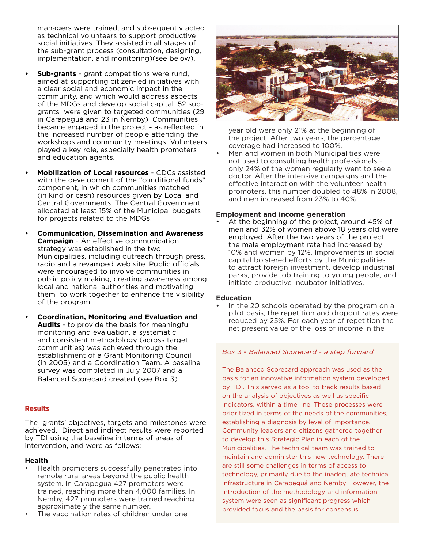managers were trained, and subsequently acted as technical volunteers to support productive social initiatives. They assisted in all stages of the sub-grant process (consultation, designing, implementation, and monitoring)(see below).

- **• Sub-grants**  grant competitions were rund, aimed at supporting citizen-led initiatives with a clear social and economic impact in the community, and which would address aspects of the MDGs and develop social capital. 52 subgrants were given to targeted communities (29 in Carapeguá and 23 in Ñemby). Communities became engaged in the project - as reflected in the increased number of people attending the workshops and community meetings. Volunteers played a key role, especially health promoters and education agents.
- **• Mobilization of Local resources**  CDCs assisted with the development of the "conditional funds" component, in which communities matched (in kind or cash) resources given by Local and Central Governments. The Central Government allocated at least 15% of the Municipal budgets for projects related to the MDGs.
- **• Communication, Dissemination and Awareness Campaign** - An effective communication strategy was established in the two Municipalities, including outreach through press, radio and a revamped web site. Public officials were encouraged to involve communities in public policy making, creating awareness among local and national authorities and motivating them to work together to enhance the visibility of the program.
- **• Coordination, Monitoring and Evaluation and Audits** - to provide the basis for meaningful monitoring and evaluation, a systematic and consistent methodology (across target communities) was achieved through the establishment of a Grant Monitoring Council (in 2005) and a Coordination Team. A baseline survey was completed in July 2007 and a Balanced Scorecard created (see Box 3).

#### **Results**

The grants' objectives, targets and milestones were achieved. Direct and indirect results were reported by TDI using the baseline in terms of areas of intervention, and were as follows:

#### **Health**

- Health promoters successfully penetrated into remote rural areas beyond the public health system. In Carapegua 427 promoters were trained, reaching more than 4,000 families. In Nemby, 427 promoters were trained reaching approximately the same number.
- The vaccination rates of children under one



year old were only 21% at the beginning of the project. After two years, the percentage coverage had increased to 100%.

• Men and women in both Municipalities were not used to consulting health professionals only 24% of the women regularly went to see a doctor. After the intensive campaigns and the effective interaction with the volunteer health promoters, this number doubled to 48% in 2008, and men increased from 23% to 40%.

#### **Employment and income generation**

At the beginning of the project, around 45% of men and 32% of women above 18 years old were employed. After the two years of the project the male employment rate had increased by 10% and women by 12%. Improvements in social capital bolstered efforts by the Municipalities to attract foreign investment, develop industrial parks, provide job training to young people, and initiate productive incubator initiatives.

#### **Education**

In the 20 schools operated by the program on a pilot basis, the repetition and dropout rates were reduced by 25%. For each year of repetition the net present value of the loss of income in the

#### *Box 3* - *Balanced Scorecard - a step forward*

The Balanced Scorecard approach was used as the basis for an innovative information system developed by TDI. This served as a tool to track results based on the analysis of objectives as well as specific indicators, within a time line. These processes were prioritized in terms of the needs of the communities, establishing a diagnosis by level of importance. Community leaders and citizens gathered together to develop this Strategic Plan in each of the Municipalities. The technical team was trained to maintain and administer this new technology. There are still some challenges in terms of access to technology, primarily due to the inadequate technical infrastructure in Carapeguá and Ñemby However, the introduction of the methodology and information system were seen as significant progress which provided focus and the basis for consensus.